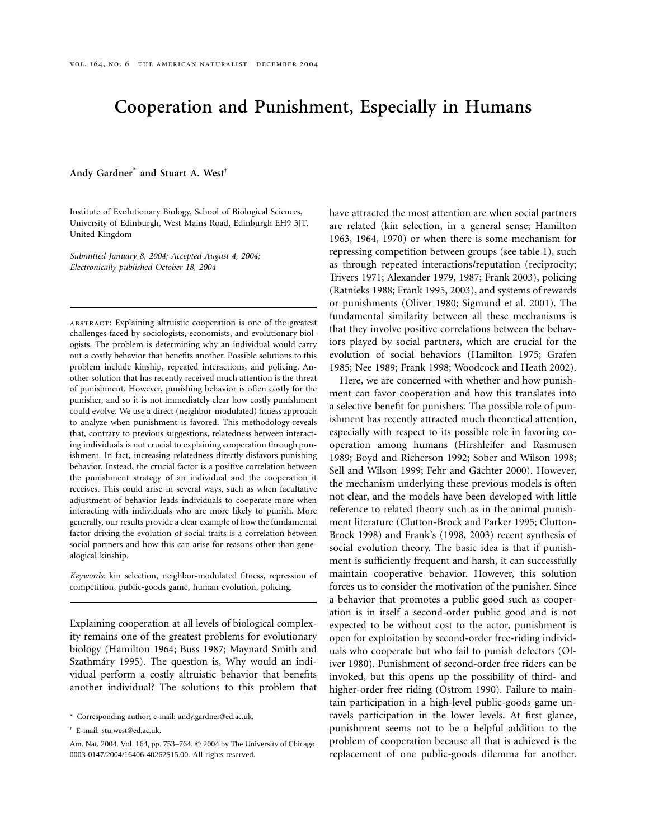# **Cooperation and Punishment, Especially in Humans**

**Andy Gardner**\* **and Stuart A. West**†

Institute of Evolutionary Biology, School of Biological Sciences, University of Edinburgh, West Mains Road, Edinburgh EH9 3JT, United Kingdom

*Submitted January 8, 2004; Accepted August 4, 2004; Electronically published October 18, 2004*

abstract: Explaining altruistic cooperation is one of the greatest challenges faced by sociologists, economists, and evolutionary biologists. The problem is determining why an individual would carry out a costly behavior that benefits another. Possible solutions to this problem include kinship, repeated interactions, and policing. Another solution that has recently received much attention is the threat of punishment. However, punishing behavior is often costly for the punisher, and so it is not immediately clear how costly punishment could evolve. We use a direct (neighbor-modulated) fitness approach to analyze when punishment is favored. This methodology reveals that, contrary to previous suggestions, relatedness between interacting individuals is not crucial to explaining cooperation through punishment. In fact, increasing relatedness directly disfavors punishing behavior. Instead, the crucial factor is a positive correlation between the punishment strategy of an individual and the cooperation it receives. This could arise in several ways, such as when facultative adjustment of behavior leads individuals to cooperate more when interacting with individuals who are more likely to punish. More generally, our results provide a clear example of how the fundamental factor driving the evolution of social traits is a correlation between social partners and how this can arise for reasons other than genealogical kinship.

*Keywords:* kin selection, neighbor-modulated fitness, repression of competition, public-goods game, human evolution, policing.

Explaining cooperation at all levels of biological complexity remains one of the greatest problems for evolutionary biology (Hamilton 1964; Buss 1987; Maynard Smith and Szathmáry 1995). The question is, Why would an individual perform a costly altruistic behavior that benefits another individual? The solutions to this problem that have attracted the most attention are when social partners are related (kin selection, in a general sense; Hamilton 1963, 1964, 1970) or when there is some mechanism for repressing competition between groups (see table 1), such as through repeated interactions/reputation (reciprocity; Trivers 1971; Alexander 1979, 1987; Frank 2003), policing (Ratnieks 1988; Frank 1995, 2003), and systems of rewards or punishments (Oliver 1980; Sigmund et al. 2001). The fundamental similarity between all these mechanisms is that they involve positive correlations between the behaviors played by social partners, which are crucial for the evolution of social behaviors (Hamilton 1975; Grafen 1985; Nee 1989; Frank 1998; Woodcock and Heath 2002).

Here, we are concerned with whether and how punishment can favor cooperation and how this translates into a selective benefit for punishers. The possible role of punishment has recently attracted much theoretical attention, especially with respect to its possible role in favoring cooperation among humans (Hirshleifer and Rasmusen 1989; Boyd and Richerson 1992; Sober and Wilson 1998; Sell and Wilson 1999; Fehr and Gächter 2000). However, the mechanism underlying these previous models is often not clear, and the models have been developed with little reference to related theory such as in the animal punishment literature (Clutton-Brock and Parker 1995; Clutton-Brock 1998) and Frank's (1998, 2003) recent synthesis of social evolution theory. The basic idea is that if punishment is sufficiently frequent and harsh, it can successfully maintain cooperative behavior. However, this solution forces us to consider the motivation of the punisher. Since a behavior that promotes a public good such as cooperation is in itself a second-order public good and is not expected to be without cost to the actor, punishment is open for exploitation by second-order free-riding individuals who cooperate but who fail to punish defectors (Oliver 1980). Punishment of second-order free riders can be invoked, but this opens up the possibility of third- and higher-order free riding (Ostrom 1990). Failure to maintain participation in a high-level public-goods game unravels participation in the lower levels. At first glance, punishment seems not to be a helpful addition to the problem of cooperation because all that is achieved is the replacement of one public-goods dilemma for another.

<sup>\*</sup> Corresponding author; e-mail: andy.gardner@ed.ac.uk.

<sup>†</sup> E-mail: stu.west@ed.ac.uk.

Am. Nat. 2004. Vol. 164, pp. 753-764. © 2004 by The University of Chicago. 0003-0147/2004/16406-40262\$15.00. All rights reserved.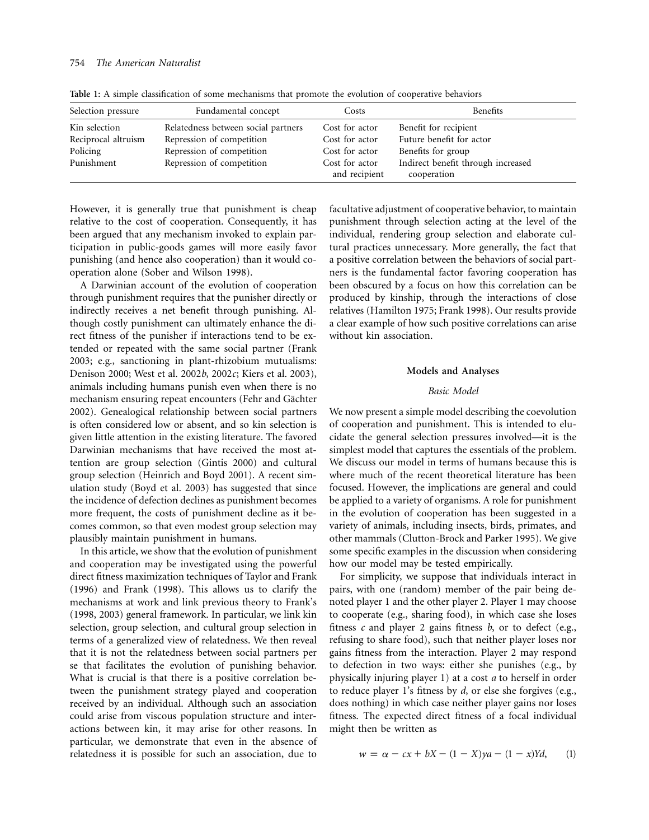| Selection pressure  | Fundamental concept                 | Costs                           | Benefits                                          |
|---------------------|-------------------------------------|---------------------------------|---------------------------------------------------|
| Kin selection       | Relatedness between social partners | Cost for actor                  | Benefit for recipient                             |
| Reciprocal altruism | Repression of competition           | Cost for actor                  | Future benefit for actor                          |
| Policing            | Repression of competition           | Cost for actor                  | Benefits for group                                |
| Punishment          | Repression of competition           | Cost for actor<br>and recipient | Indirect benefit through increased<br>cooperation |

**Table 1:** A simple classification of some mechanisms that promote the evolution of cooperative behaviors

However, it is generally true that punishment is cheap relative to the cost of cooperation. Consequently, it has been argued that any mechanism invoked to explain participation in public-goods games will more easily favor punishing (and hence also cooperation) than it would cooperation alone (Sober and Wilson 1998).

A Darwinian account of the evolution of cooperation through punishment requires that the punisher directly or indirectly receives a net benefit through punishing. Although costly punishment can ultimately enhance the direct fitness of the punisher if interactions tend to be extended or repeated with the same social partner (Frank 2003; e.g., sanctioning in plant-rhizobium mutualisms: Denison 2000; West et al. 2002*b*, 2002*c*; Kiers et al. 2003), animals including humans punish even when there is no mechanism ensuring repeat encounters (Fehr and Gächter 2002). Genealogical relationship between social partners is often considered low or absent, and so kin selection is given little attention in the existing literature. The favored Darwinian mechanisms that have received the most attention are group selection (Gintis 2000) and cultural group selection (Heinrich and Boyd 2001). A recent simulation study (Boyd et al. 2003) has suggested that since the incidence of defection declines as punishment becomes more frequent, the costs of punishment decline as it becomes common, so that even modest group selection may plausibly maintain punishment in humans.

In this article, we show that the evolution of punishment and cooperation may be investigated using the powerful direct fitness maximization techniques of Taylor and Frank (1996) and Frank (1998). This allows us to clarify the mechanisms at work and link previous theory to Frank's (1998, 2003) general framework. In particular, we link kin selection, group selection, and cultural group selection in terms of a generalized view of relatedness. We then reveal that it is not the relatedness between social partners per se that facilitates the evolution of punishing behavior. What is crucial is that there is a positive correlation between the punishment strategy played and cooperation received by an individual. Although such an association could arise from viscous population structure and interactions between kin, it may arise for other reasons. In particular, we demonstrate that even in the absence of relatedness it is possible for such an association, due to

facultative adjustment of cooperative behavior, to maintain punishment through selection acting at the level of the individual, rendering group selection and elaborate cultural practices unnecessary. More generally, the fact that a positive correlation between the behaviors of social partners is the fundamental factor favoring cooperation has been obscured by a focus on how this correlation can be produced by kinship, through the interactions of close relatives (Hamilton 1975; Frank 1998). Our results provide a clear example of how such positive correlations can arise without kin association.

#### **Models and Analyses**

# *Basic Model*

We now present a simple model describing the coevolution of cooperation and punishment. This is intended to elucidate the general selection pressures involved—it is the simplest model that captures the essentials of the problem. We discuss our model in terms of humans because this is where much of the recent theoretical literature has been focused. However, the implications are general and could be applied to a variety of organisms. A role for punishment in the evolution of cooperation has been suggested in a variety of animals, including insects, birds, primates, and other mammals (Clutton-Brock and Parker 1995). We give some specific examples in the discussion when considering how our model may be tested empirically.

For simplicity, we suppose that individuals interact in pairs, with one (random) member of the pair being denoted player 1 and the other player 2. Player 1 may choose to cooperate (e.g., sharing food), in which case she loses fitness *c* and player 2 gains fitness *b*, or to defect (e.g., refusing to share food), such that neither player loses nor gains fitness from the interaction. Player 2 may respond to defection in two ways: either she punishes (e.g., by physically injuring player 1) at a cost *a* to herself in order to reduce player 1's fitness by *d*, or else she forgives (e.g., does nothing) in which case neither player gains nor loses fitness. The expected direct fitness of a focal individual might then be written as

$$
w = \alpha - cx + bX - (1 - X)ya - (1 - x)Yd, \qquad (1)
$$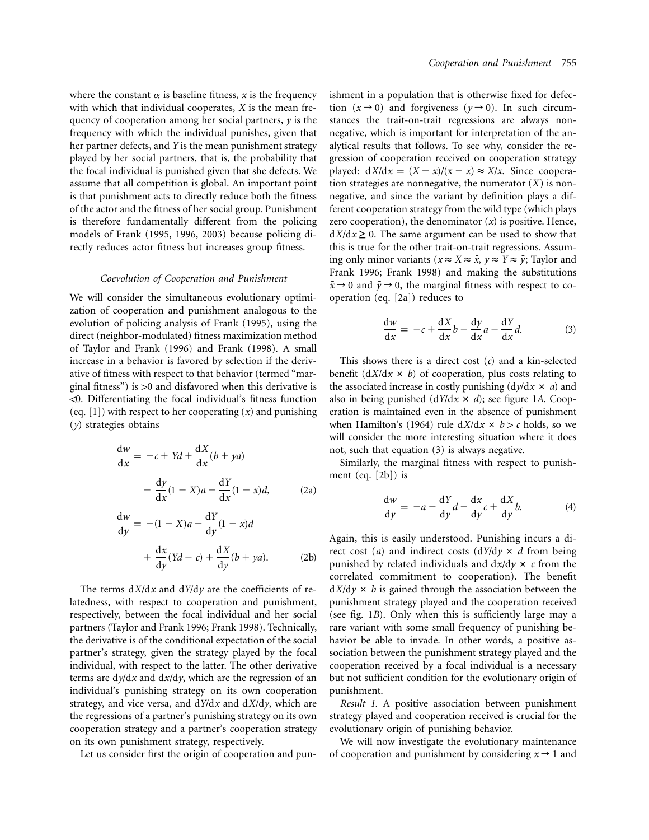where the constant  $\alpha$  is baseline fitness, x is the frequency with which that individual cooperates, *X* is the mean frequency of cooperation among her social partners, *y* is the frequency with which the individual punishes, given that her partner defects, and *Y* is the mean punishment strategy played by her social partners, that is, the probability that the focal individual is punished given that she defects. We assume that all competition is global. An important point is that punishment acts to directly reduce both the fitness of the actor and the fitness of her social group. Punishment is therefore fundamentally different from the policing models of Frank (1995, 1996, 2003) because policing directly reduces actor fitness but increases group fitness.

#### *Coevolution of Cooperation and Punishment*

We will consider the simultaneous evolutionary optimization of cooperation and punishment analogous to the evolution of policing analysis of Frank (1995), using the direct (neighbor-modulated) fitness maximization method of Taylor and Frank (1996) and Frank (1998). A small increase in a behavior is favored by selection if the derivative of fitness with respect to that behavior (termed "marginal fitness") is  $>0$  and disfavored when this derivative is  $<$ 0. Differentiating the focal individual's fitness function (eq. [1]) with respect to her cooperating (*x*) and punishing (*y*) strategies obtains

$$
\frac{dw}{dx} = -c + Yd + \frac{dX}{dx}(b + ya)
$$

$$
- \frac{dy}{dx}(1 - X)a - \frac{dY}{dx}(1 - x)d,
$$
 (2a)

$$
\frac{dw}{dy} = -(1 - X)a - \frac{dY}{dy}(1 - x)d
$$

$$
+ \frac{dx}{dy}(Yd - c) + \frac{dX}{dy}(b + ya). \tag{2b}
$$

The terms  $dX/dx$  and  $dY/dy$  are the coefficients of relatedness, with respect to cooperation and punishment, respectively, between the focal individual and her social partners (Taylor and Frank 1996; Frank 1998). Technically, the derivative is of the conditional expectation of the social partner's strategy, given the strategy played by the focal individual, with respect to the latter. The other derivative terms are  $dy/dx$  and  $dx/dy$ , which are the regression of an individual's punishing strategy on its own cooperation strategy, and vice versa, and  $dY/dx$  and  $dX/dy$ , which are the regressions of a partner's punishing strategy on its own cooperation strategy and a partner's cooperation strategy on its own punishment strategy, respectively.

Let us consider first the origin of cooperation and pun-

ishment in a population that is otherwise fixed for defection  $(\bar{x} \rightarrow 0)$  and forgiveness  $(\bar{y} \rightarrow 0)$ . In such circumstances the trait-on-trait regressions are always nonnegative, which is important for interpretation of the analytical results that follows. To see why, consider the regression of cooperation received on cooperation strategy played:  $dX/dx = (X - \bar{x})/(x - \bar{x}) \approx X/x$ . Since cooperation strategies are nonnegative, the numerator  $(X)$  is nonnegative, and since the variant by definition plays a different cooperation strategy from the wild type (which plays zero cooperation), the denominator  $(x)$  is positive. Hence,  $dX/dx \geq 0$ . The same argument can be used to show that this is true for the other trait-on-trait regressions. Assuming only minor variants ( $x \approx X \approx \bar{x}$ ,  $y \approx Y \approx \bar{y}$ ; Taylor and Frank 1996; Frank 1998) and making the substitutions  $\bar{x} \rightarrow 0$  and  $\bar{y} \rightarrow 0$ , the marginal fitness with respect to cooperation (eq. [2a]) reduces to

$$
\frac{dw}{dx} = -c + \frac{dX}{dx}b - \frac{dy}{dx}a - \frac{dY}{dx}d.
$$
 (3)

This shows there is a direct cost (*c*) and a kin-selected benefit  $\left(\frac{dX}{dx} \times b\right)$  of cooperation, plus costs relating to the associated increase in costly punishing  $\frac{dy}{dx} \times a$  and also in being punished  $\frac{dY}{dx} \times d$ ; see figure 1A. Cooperation is maintained even in the absence of punishment when Hamilton's (1964) rule  $dX/dx \times b > c$  holds, so we will consider the more interesting situation where it does not, such that equation (3) is always negative.

Similarly, the marginal fitness with respect to punishment (eq. [2b]) is

$$
\frac{dw}{dy} = -a - \frac{dY}{dy}d - \frac{dx}{dy}c + \frac{dX}{dy}b.
$$
 (4)

Again, this is easily understood. Punishing incurs a direct cost (*a*) and indirect costs  $\frac{dY}{dy} \times d$  from being punished by related individuals and  $dx/dy \times c$  from the correlated commitment to cooperation). The benefit  $dX/dy \times b$  is gained through the association between the punishment strategy played and the cooperation received (see fig. 1*B*). Only when this is sufficiently large may a rare variant with some small frequency of punishing behavior be able to invade. In other words, a positive association between the punishment strategy played and the cooperation received by a focal individual is a necessary but not sufficient condition for the evolutionary origin of punishment.

*Result 1*. A positive association between punishment strategy played and cooperation received is crucial for the evolutionary origin of punishing behavior.

We will now investigate the evolutionary maintenance of cooperation and punishment by considering  $\bar{x} \rightarrow 1$  and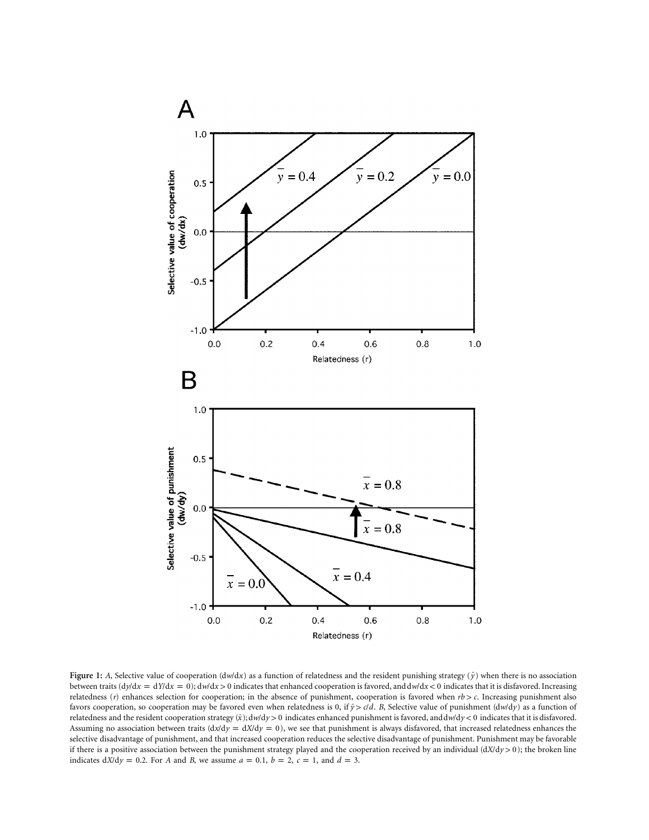

**Figure 1:** *A*, Selective value of cooperation ( $d w/dx$ ) as a function of relatedness and the resident punishing strategy ( $\bar{y}$ ) when there is no association between traits  $\frac{dy}{dx} = \frac{dy}{dx} = 0$ ;  $\frac{dw}{dx} > 0$  indicates that enhanced cooperation is favored, and  $\frac{dw}{dx} < 0$  indicates that it is disfavored. Increasing relatedness (*r*) enhances selection for cooperation; in the absence of punishment, cooperation is favored when  $rb > c$ . Increasing punishment also favors cooperation, so cooperation may be favored even when relatedness is 0, if  $\bar{y}$   $>$   $c/d$ . B, Selective value of punishment ( $dw/dy$ ) as a function of relatedness and the resident cooperation strategy ( $\bar{x}$ ); dw/dy > 0 indicates enhanced punishment is favored, and dw/dy < 0 indicates that it is disfavored. Assuming no association between traits  $\frac{dx}{dy} = \frac{dX}{dy} = 0$ , we see that punishment is always disfavored, that increased relatedness enhances the selective disadvantage of punishment, and that increased cooperation reduces the selective disadvantage of punishment. Punishment may be favorable if there is a positive association between the punishment strategy played and the cooperation received by an individual  $\left(\frac{dX}{dy} > 0\right)$ ; the broken line indicates  $dX/dy = 0.2$ . For A and B, we assume  $a = 0.1$ ,  $b = 2$ ,  $c = 1$ , and  $d = 3$ .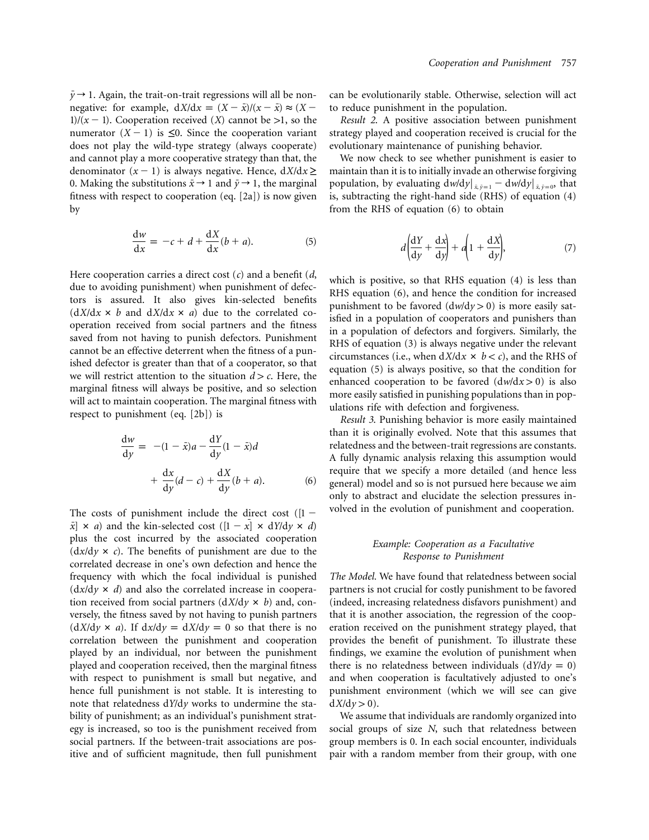$\bar{y} \rightarrow 1$ . Again, the trait-on-trait regressions will all be nonnegative: for example,  $dX/dx = (X - \bar{x})/(x - \bar{x}) \approx (X -$ 1)/( $x - 1$ ). Cooperation received (*X*) cannot be >1, so the numerator  $(X - 1)$  is  $\leq 0$ . Since the cooperation variant does not play the wild-type strategy (always cooperate) and cannot play a more cooperative strategy than that, the denominator  $(x - 1)$  is always negative. Hence,  $dX/dx \ge$ 0. Making the substitutions  $\bar{x} \rightarrow 1$  and  $\bar{y} \rightarrow 1$ , the marginal fitness with respect to cooperation (eq. [2a]) is now given by

$$
\frac{\mathrm{d}w}{\mathrm{d}x} = -c + d + \frac{\mathrm{d}X}{\mathrm{d}x}(b + a). \tag{5}
$$

Here cooperation carries a direct cost (*c*) and a benefit (*d*, due to avoiding punishment) when punishment of defectors is assured. It also gives kin-selected benefits  $(dX/dx \times b$  and  $dX/dx \times a)$  due to the correlated cooperation received from social partners and the fitness saved from not having to punish defectors. Punishment cannot be an effective deterrent when the fitness of a punished defector is greater than that of a cooperator, so that we will restrict attention to the situation  $d > c$ . Here, the marginal fitness will always be positive, and so selection will act to maintain cooperation. The marginal fitness with respect to punishment (eq. [2b]) is

$$
\frac{dw}{dy} = -(1 - \bar{x})a - \frac{dY}{dy}(1 - \bar{x})d
$$

$$
+ \frac{dx}{dy}(d - c) + \frac{dX}{dy}(b + a).
$$
(6)

The costs of punishment include the direct cost ( $[1 |\bar{x}| \times a$  and the kin-selected cost  $([1 - x] \times dY/dy \times d)$ plus the cost incurred by the associated cooperation  $\frac{dx}{dy} \times c$ . The benefits of punishment are due to the correlated decrease in one's own defection and hence the frequency with which the focal individual is punished  $(dx/dy \times d)$  and also the correlated increase in cooperation received from social partners  $\left( \frac{dX}{dy} \times b \right)$  and, conversely, the fitness saved by not having to punish partners  $(dX/dy \times a)$ . If  $dx/dy = dX/dy = 0$  so that there is no correlation between the punishment and cooperation played by an individual, nor between the punishment played and cooperation received, then the marginal fitness with respect to punishment is small but negative, and hence full punishment is not stable. It is interesting to note that relatedness dY/dy works to undermine the stability of punishment; as an individual's punishment strategy is increased, so too is the punishment received from social partners. If the between-trait associations are positive and of sufficient magnitude, then full punishment

can be evolutionarily stable. Otherwise, selection will act to reduce punishment in the population.

*Result 2*. A positive association between punishment strategy played and cooperation received is crucial for the evolutionary maintenance of punishing behavior.

We now check to see whether punishment is easier to maintain than it is to initially invade an otherwise forgiving population, by evaluating  $dw/dy|_{\bar{x}, \bar{y}=1} - dw/dy|_{\bar{x}, \bar{y}=0}$ , that is, subtracting the right-hand side (RHS) of equation (4) from the RHS of equation (6) to obtain

$$
d\left(\frac{dY}{dy} + \frac{dx}{dy}\right) + a\left(1 + \frac{dX}{dy}\right),\tag{7}
$$

which is positive, so that RHS equation (4) is less than RHS equation (6), and hence the condition for increased punishment to be favored  $\left(\frac{dw}{dy} > 0\right)$  is more easily satisfied in a population of cooperators and punishers than in a population of defectors and forgivers. Similarly, the RHS of equation (3) is always negative under the relevant circumstances (i.e., when  $dX/dx \times b < c$ ), and the RHS of equation (5) is always positive, so that the condition for enhanced cooperation to be favored  $\left(\frac{dw}{dx} > 0\right)$  is also more easily satisfied in punishing populations than in populations rife with defection and forgiveness.

*Result 3*. Punishing behavior is more easily maintained than it is originally evolved. Note that this assumes that relatedness and the between-trait regressions are constants. A fully dynamic analysis relaxing this assumption would require that we specify a more detailed (and hence less general) model and so is not pursued here because we aim only to abstract and elucidate the selection pressures involved in the evolution of punishment and cooperation.

# *Example: Cooperation as a Facultative Response to Punishment*

*The Model.* We have found that relatedness between social partners is not crucial for costly punishment to be favored (indeed, increasing relatedness disfavors punishment) and that it is another association, the regression of the cooperation received on the punishment strategy played, that provides the benefit of punishment. To illustrate these findings, we examine the evolution of punishment when there is no relatedness between individuals  $(dY/dy = 0)$ and when cooperation is facultatively adjusted to one's punishment environment (which we will see can give  $dX/dy > 0$ ).

We assume that individuals are randomly organized into social groups of size *N*, such that relatedness between group members is 0. In each social encounter, individuals pair with a random member from their group, with one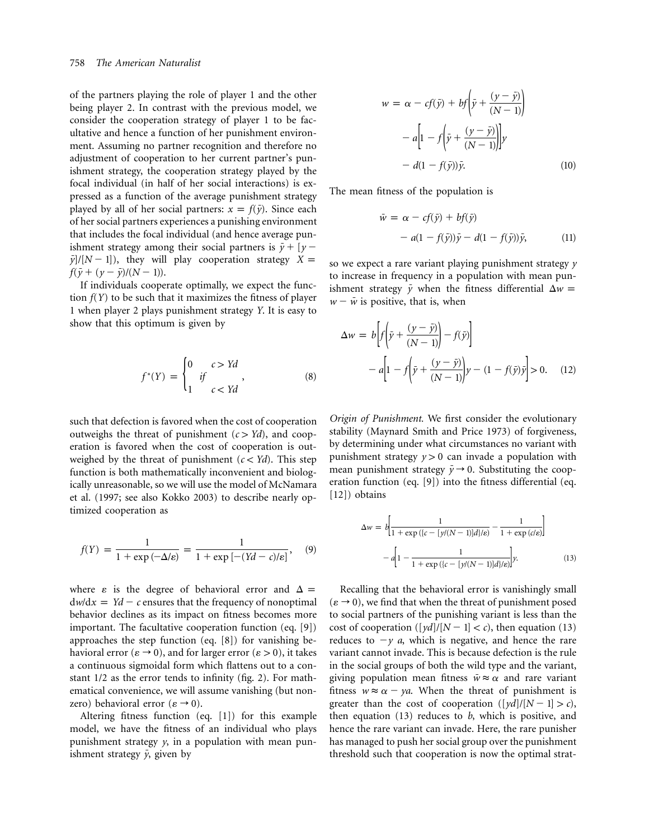of the partners playing the role of player 1 and the other being player 2. In contrast with the previous model, we consider the cooperation strategy of player 1 to be facultative and hence a function of her punishment environment. Assuming no partner recognition and therefore no adjustment of cooperation to her current partner's punishment strategy, the cooperation strategy played by the focal individual (in half of her social interactions) is expressed as a function of the average punishment strategy played by all of her social partners:  $x = f(\bar{y})$ . Since each of her social partners experiences a punishing environment that includes the focal individual (and hence average punishment strategy among their social partners is  $\bar{y} + [y -]$  $\bar{y}/[N-1]$ , they will play cooperation strategy  $X =$  $f(\bar{y} + (y - \bar{y})/(N - 1)).$ 

If individuals cooperate optimally, we expect the function  $f(Y)$  to be such that it maximizes the fitness of player 1 when player 2 plays punishment strategy *Y*. It is easy to show that this optimum is given by

$$
f^*(Y) = \begin{cases} 0 & c > Yd \\ i & f \\ 1 & c < Yd \end{cases}, \tag{8}
$$

such that defection is favored when the cost of cooperation outweighs the threat of punishment  $(c > Yd)$ , and cooperation is favored when the cost of cooperation is outweighed by the threat of punishment  $(c < Yd)$ . This step function is both mathematically inconvenient and biologically unreasonable, so we will use the model of McNamara et al. (1997; see also Kokko 2003) to describe nearly optimized cooperation as

$$
f(Y) = \frac{1}{1 + \exp\left(-\Delta/\varepsilon\right)} = \frac{1}{1 + \exp\left[-\left(Yd - c\right)/\varepsilon\right]},\quad(9)
$$

where  $\varepsilon$  is the degree of behavioral error and  $\Delta =$  $dw/dx = Yd - c$  ensures that the frequency of nonoptimal behavior declines as its impact on fitness becomes more important. The facultative cooperation function (eq. [9]) approaches the step function (eq. [8]) for vanishing behavioral error ( $\varepsilon \to 0$ ), and for larger error ( $\varepsilon > 0$ ), it takes a continuous sigmoidal form which flattens out to a constant 1/2 as the error tends to infinity (fig. 2). For mathematical convenience, we will assume vanishing (but nonzero) behavioral error ( $\varepsilon \rightarrow 0$ ).

Altering fitness function (eq. [1]) for this example model, we have the fitness of an individual who plays punishment strategy *y*, in a population with mean punishment strategy  $\bar{y}$ , given by

$$
w = \alpha - cf(\bar{y}) + bf\left(\bar{y} + \frac{(y - \bar{y})}{(N - 1)}\right)
$$

$$
- a\left[1 - f\left(\bar{y} + \frac{(y - \bar{y})}{(N - 1)}\right)\right]y
$$

$$
- d(1 - f(\bar{y}))\bar{y}.
$$
(10)

The mean fitness of the population is

$$
\bar{w} = \alpha - cf(\bar{y}) + bf(\bar{y})
$$
  
-  $a(1 - f(\bar{y}))\bar{y} - d(1 - f(\bar{y}))\bar{y},$  (11)

so we expect a rare variant playing punishment strategy *y* to increase in frequency in a population with mean punishment strategy  $\bar{y}$  when the fitness differential  $\Delta w =$  $w - \bar{w}$  is positive, that is, when

$$
\Delta w = b \left[ f \left( \bar{y} + \frac{(y - \bar{y})}{(N - 1)} \right) - f(\bar{y}) \right]
$$

$$
- a \left[ 1 - f \left( \bar{y} + \frac{(y - \bar{y})}{(N - 1)} \right) y - (1 - f(\bar{y}) \bar{y} \right] > 0. \quad (12)
$$

*Origin of Punishment.* We first consider the evolutionary stability (Maynard Smith and Price 1973) of forgiveness, by determining under what circumstances no variant with punishment strategy  $y > 0$  can invade a population with mean punishment strategy  $\bar{y} \rightarrow 0$ . Substituting the cooperation function (eq. [9]) into the fitness differential (eq. [12]) obtains

$$
\Delta w = b \left[ \frac{1}{1 + \exp((c - [y/(N-1)]d]/\epsilon)} - \frac{1}{1 + \exp(c/\epsilon)} \right]
$$

$$
- a \left[ 1 - \frac{1}{1 + \exp((c - [y/(N-1)]d]/\epsilon)} \right] y.
$$
(13)

Recalling that the behavioral error is vanishingly small  $(\varepsilon \rightarrow 0)$ , we find that when the threat of punishment posed to social partners of the punishing variant is less than the cost of cooperation ( $[yd]/[N-1] < c$ ), then equation (13) reduces to  $-y$  *a*, which is negative, and hence the rare variant cannot invade. This is because defection is the rule in the social groups of both the wild type and the variant, giving population mean fitness  $\bar{w} \approx \alpha$  and rare variant fitness  $w \approx \alpha - ya$ . When the threat of punishment is greater than the cost of cooperation  $([yd]/[N-1] > c)$ , then equation (13) reduces to *b*, which is positive, and hence the rare variant can invade. Here, the rare punisher has managed to push her social group over the punishment threshold such that cooperation is now the optimal strat-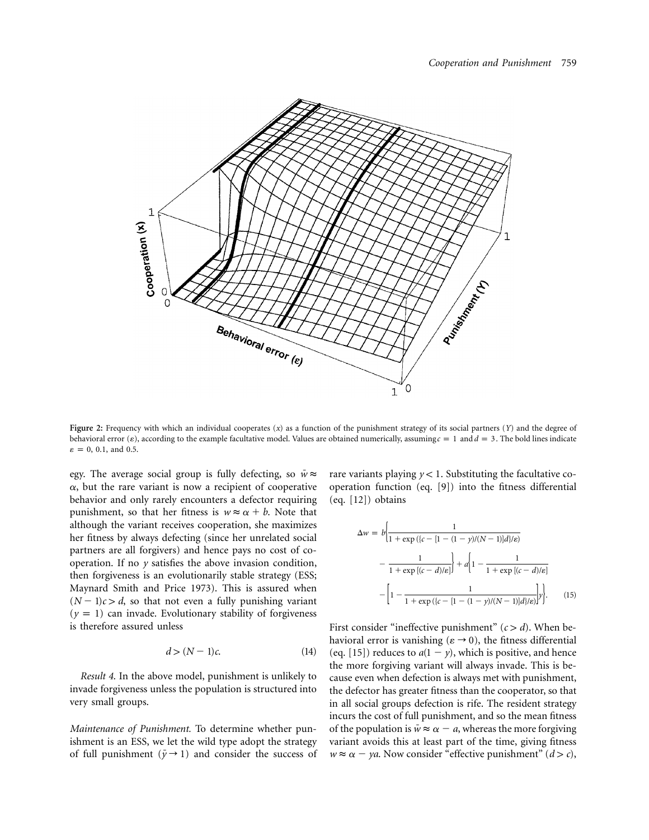

**Figure 2:** Frequency with which an individual cooperates (*x*) as a function of the punishment strategy of its social partners (*Y*) and the degree of behavioral error ( $\varepsilon$ ), according to the example facultative model. Values are obtained numerically, assuming  $c = 1$  and  $d = 3$ . The bold lines indicate  $\varepsilon = 0$ , 0.1, and 0.5.

egy. The average social group is fully defecting, so  $\bar{w} \approx$  $\alpha$ , but the rare variant is now a recipient of cooperative behavior and only rarely encounters a defector requiring punishment, so that her fitness is  $w \approx \alpha + b$ . Note that although the variant receives cooperation, she maximizes her fitness by always defecting (since her unrelated social partners are all forgivers) and hence pays no cost of cooperation. If no *y* satisfies the above invasion condition, then forgiveness is an evolutionarily stable strategy (ESS; Maynard Smith and Price 1973). This is assured when  $(N - 1)c > d$ , so that not even a fully punishing variant  $(y = 1)$  can invade. Evolutionary stability of forgiveness is therefore assured unless

$$
d > (N-1)c.\t(14)
$$

*Result 4*. In the above model, punishment is unlikely to invade forgiveness unless the population is structured into very small groups.

*Maintenance of Punishment.* To determine whether punishment is an ESS, we let the wild type adopt the strategy of full punishment ( $\bar{y} \rightarrow 1$ ) and consider the success of rare variants playing  $y < 1$ . Substituting the facultative cooperation function (eq. [9]) into the fitness differential (eq. [12]) obtains

$$
\Delta w = b \left[ \frac{1}{1 + \exp((c - [1 - (1 - y)/(N - 1)]d)/\epsilon)} - \frac{1}{1 + \exp[(c - d)/\epsilon]} \right] + a \left[ 1 - \frac{1}{1 + \exp[(c - d)/\epsilon]} - \left[ 1 - \frac{1}{1 + \exp((c - [1 - (1 - y)/(N - 1)]d)/\epsilon)} \right] y \right].
$$
(15)

First consider "ineffective punishment"  $(c > d)$ . When behavioral error is vanishing ( $\varepsilon \rightarrow 0$ ), the fitness differential (eq. [15]) reduces to  $a(1 - y)$ , which is positive, and hence the more forgiving variant will always invade. This is because even when defection is always met with punishment, the defector has greater fitness than the cooperator, so that in all social groups defection is rife. The resident strategy incurs the cost of full punishment, and so the mean fitness of the population is  $\bar{w} \approx \alpha - a$ , whereas the more forgiving variant avoids this at least part of the time, giving fitness  $w \approx \alpha - ya$ . Now consider "effective punishment" ( $d > c$ ),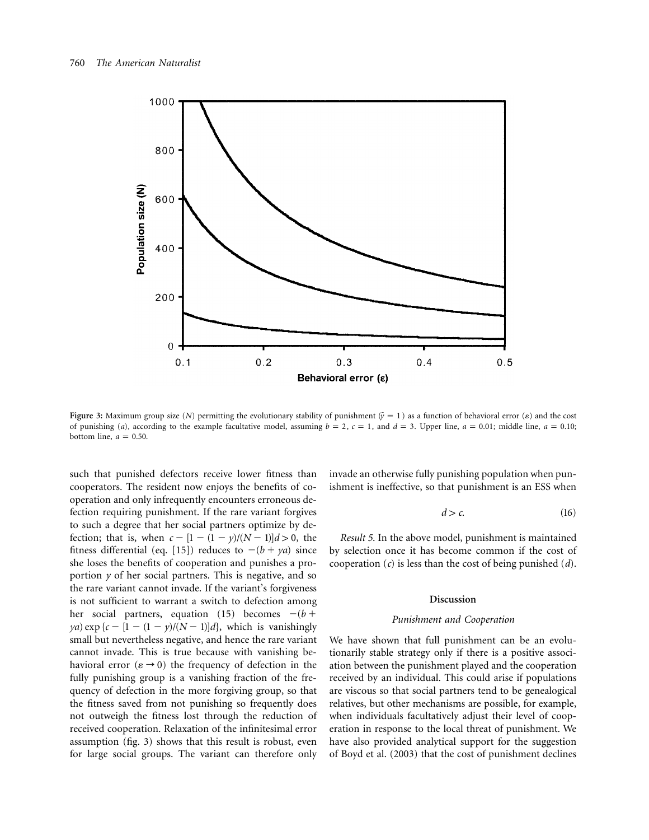

**Figure 3:** Maximum group size (*N*) permitting the evolutionary stability of punishment  $(\bar{y} = 1)$  as a function of behavioral error ( $\varepsilon$ ) and the cost of punishing (*a*), according to the example facultative model, assuming  $b = 2$ ,  $c = 1$ , and  $d = 3$ . Upper line,  $a = 0.01$ ; middle line,  $a = 0.10$ ; bottom line,  $a = 0.50$ .

such that punished defectors receive lower fitness than cooperators. The resident now enjoys the benefits of cooperation and only infrequently encounters erroneous defection requiring punishment. If the rare variant forgives to such a degree that her social partners optimize by defection; that is, when  $c - [1 - (1 - y)/(N - 1)]d > 0$ , the fitness differential (eq. [15]) reduces to  $-(b + ya)$  since she loses the benefits of cooperation and punishes a proportion *y* of her social partners. This is negative, and so the rare variant cannot invade. If the variant's forgiveness is not sufficient to warrant a switch to defection among her social partners, equation (15) becomes  $-(b +$ *ya*) exp { $c - [1 - (1 - y)/(N - 1)]d$ }, which is vanishingly small but nevertheless negative, and hence the rare variant cannot invade. This is true because with vanishing behavioral error ( $\varepsilon \rightarrow 0$ ) the frequency of defection in the fully punishing group is a vanishing fraction of the frequency of defection in the more forgiving group, so that the fitness saved from not punishing so frequently does not outweigh the fitness lost through the reduction of received cooperation. Relaxation of the infinitesimal error assumption (fig. 3) shows that this result is robust, even for large social groups. The variant can therefore only invade an otherwise fully punishing population when punishment is ineffective, so that punishment is an ESS when

$$
d > c.\t(16)
$$

*Result 5*. In the above model, punishment is maintained by selection once it has become common if the cost of cooperation (*c*) is less than the cost of being punished (*d*).

#### **Discussion**

#### *Punishment and Cooperation*

We have shown that full punishment can be an evolutionarily stable strategy only if there is a positive association between the punishment played and the cooperation received by an individual. This could arise if populations are viscous so that social partners tend to be genealogical relatives, but other mechanisms are possible, for example, when individuals facultatively adjust their level of cooperation in response to the local threat of punishment. We have also provided analytical support for the suggestion of Boyd et al. (2003) that the cost of punishment declines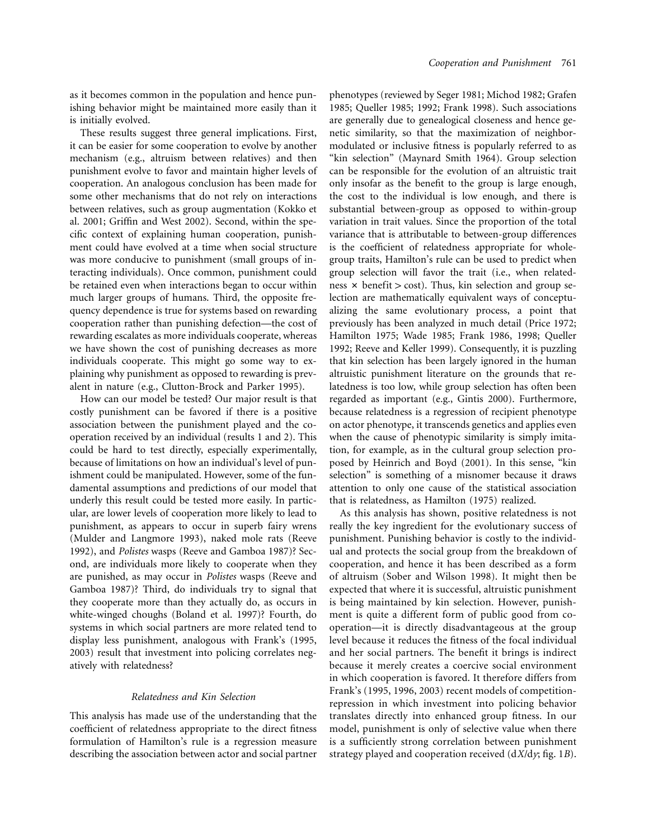as it becomes common in the population and hence punishing behavior might be maintained more easily than it is initially evolved.

These results suggest three general implications. First, it can be easier for some cooperation to evolve by another mechanism (e.g., altruism between relatives) and then punishment evolve to favor and maintain higher levels of cooperation. An analogous conclusion has been made for some other mechanisms that do not rely on interactions between relatives, such as group augmentation (Kokko et al. 2001; Griffin and West 2002). Second, within the specific context of explaining human cooperation, punishment could have evolved at a time when social structure was more conducive to punishment (small groups of interacting individuals). Once common, punishment could be retained even when interactions began to occur within much larger groups of humans. Third, the opposite frequency dependence is true for systems based on rewarding cooperation rather than punishing defection—the cost of rewarding escalates as more individuals cooperate, whereas we have shown the cost of punishing decreases as more individuals cooperate. This might go some way to explaining why punishment as opposed to rewarding is prevalent in nature (e.g., Clutton-Brock and Parker 1995).

How can our model be tested? Our major result is that costly punishment can be favored if there is a positive association between the punishment played and the cooperation received by an individual (results 1 and 2). This could be hard to test directly, especially experimentally, because of limitations on how an individual's level of punishment could be manipulated. However, some of the fundamental assumptions and predictions of our model that underly this result could be tested more easily. In particular, are lower levels of cooperation more likely to lead to punishment, as appears to occur in superb fairy wrens (Mulder and Langmore 1993), naked mole rats (Reeve 1992), and *Polistes* wasps (Reeve and Gamboa 1987)? Second, are individuals more likely to cooperate when they are punished, as may occur in *Polistes* wasps (Reeve and Gamboa 1987)? Third, do individuals try to signal that they cooperate more than they actually do, as occurs in white-winged choughs (Boland et al. 1997)? Fourth, do systems in which social partners are more related tend to display less punishment, analogous with Frank's (1995, 2003) result that investment into policing correlates negatively with relatedness?

### *Relatedness and Kin Selection*

This analysis has made use of the understanding that the coefficient of relatedness appropriate to the direct fitness formulation of Hamilton's rule is a regression measure describing the association between actor and social partner

phenotypes (reviewed by Seger 1981; Michod 1982; Grafen 1985; Queller 1985; 1992; Frank 1998). Such associations are generally due to genealogical closeness and hence genetic similarity, so that the maximization of neighbormodulated or inclusive fitness is popularly referred to as "kin selection" (Maynard Smith 1964). Group selection can be responsible for the evolution of an altruistic trait only insofar as the benefit to the group is large enough, the cost to the individual is low enough, and there is substantial between-group as opposed to within-group variation in trait values. Since the proportion of the total variance that is attributable to between-group differences is the coefficient of relatedness appropriate for wholegroup traits, Hamilton's rule can be used to predict when group selection will favor the trait (i.e., when relatedness  $\times$  benefit  $>$  cost). Thus, kin selection and group selection are mathematically equivalent ways of conceptualizing the same evolutionary process, a point that previously has been analyzed in much detail (Price 1972; Hamilton 1975; Wade 1985; Frank 1986, 1998; Queller 1992; Reeve and Keller 1999). Consequently, it is puzzling that kin selection has been largely ignored in the human altruistic punishment literature on the grounds that relatedness is too low, while group selection has often been regarded as important (e.g., Gintis 2000). Furthermore, because relatedness is a regression of recipient phenotype on actor phenotype, it transcends genetics and applies even when the cause of phenotypic similarity is simply imitation, for example, as in the cultural group selection proposed by Heinrich and Boyd (2001). In this sense, "kin selection" is something of a misnomer because it draws attention to only one cause of the statistical association that is relatedness, as Hamilton (1975) realized.

As this analysis has shown, positive relatedness is not really the key ingredient for the evolutionary success of punishment. Punishing behavior is costly to the individual and protects the social group from the breakdown of cooperation, and hence it has been described as a form of altruism (Sober and Wilson 1998). It might then be expected that where it is successful, altruistic punishment is being maintained by kin selection. However, punishment is quite a different form of public good from cooperation—it is directly disadvantageous at the group level because it reduces the fitness of the focal individual and her social partners. The benefit it brings is indirect because it merely creates a coercive social environment in which cooperation is favored. It therefore differs from Frank's (1995, 1996, 2003) recent models of competitionrepression in which investment into policing behavior translates directly into enhanced group fitness. In our model, punishment is only of selective value when there is a sufficiently strong correlation between punishment strategy played and cooperation received  $\frac{dX}{dy}$ ; fig. 1*B*).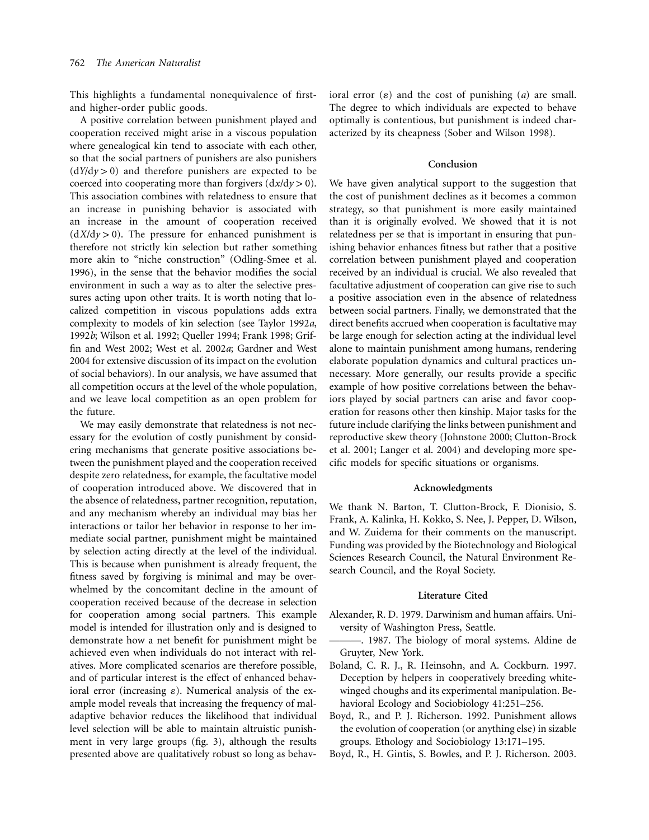This highlights a fundamental nonequivalence of firstand higher-order public goods.

A positive correlation between punishment played and cooperation received might arise in a viscous population where genealogical kin tend to associate with each other, so that the social partners of punishers are also punishers  $(dY/dy > 0)$  and therefore punishers are expected to be coerced into cooperating more than forgivers  $(\frac{dx}{dy} > 0)$ . This association combines with relatedness to ensure that an increase in punishing behavior is associated with an increase in the amount of cooperation received  $(dX/dy > 0)$ . The pressure for enhanced punishment is therefore not strictly kin selection but rather something more akin to "niche construction" (Odling-Smee et al. 1996), in the sense that the behavior modifies the social environment in such a way as to alter the selective pressures acting upon other traits. It is worth noting that localized competition in viscous populations adds extra complexity to models of kin selection (see Taylor 1992*a*, 1992*b*; Wilson et al. 1992; Queller 1994; Frank 1998; Griffin and West 2002; West et al. 2002*a*; Gardner and West 2004 for extensive discussion of its impact on the evolution of social behaviors). In our analysis, we have assumed that all competition occurs at the level of the whole population, and we leave local competition as an open problem for the future.

We may easily demonstrate that relatedness is not necessary for the evolution of costly punishment by considering mechanisms that generate positive associations between the punishment played and the cooperation received despite zero relatedness, for example, the facultative model of cooperation introduced above. We discovered that in the absence of relatedness, partner recognition, reputation, and any mechanism whereby an individual may bias her interactions or tailor her behavior in response to her immediate social partner, punishment might be maintained by selection acting directly at the level of the individual. This is because when punishment is already frequent, the fitness saved by forgiving is minimal and may be overwhelmed by the concomitant decline in the amount of cooperation received because of the decrease in selection for cooperation among social partners. This example model is intended for illustration only and is designed to demonstrate how a net benefit for punishment might be achieved even when individuals do not interact with relatives. More complicated scenarios are therefore possible, and of particular interest is the effect of enhanced behavioral error (increasing  $\varepsilon$ ). Numerical analysis of the example model reveals that increasing the frequency of maladaptive behavior reduces the likelihood that individual level selection will be able to maintain altruistic punishment in very large groups (fig. 3), although the results presented above are qualitatively robust so long as behavioral error  $(\varepsilon)$  and the cost of punishing  $(a)$  are small. The degree to which individuals are expected to behave optimally is contentious, but punishment is indeed characterized by its cheapness (Sober and Wilson 1998).

## **Conclusion**

We have given analytical support to the suggestion that the cost of punishment declines as it becomes a common strategy, so that punishment is more easily maintained than it is originally evolved. We showed that it is not relatedness per se that is important in ensuring that punishing behavior enhances fitness but rather that a positive correlation between punishment played and cooperation received by an individual is crucial. We also revealed that facultative adjustment of cooperation can give rise to such a positive association even in the absence of relatedness between social partners. Finally, we demonstrated that the direct benefits accrued when cooperation is facultative may be large enough for selection acting at the individual level alone to maintain punishment among humans, rendering elaborate population dynamics and cultural practices unnecessary. More generally, our results provide a specific example of how positive correlations between the behaviors played by social partners can arise and favor cooperation for reasons other then kinship. Major tasks for the future include clarifying the links between punishment and reproductive skew theory (Johnstone 2000; Clutton-Brock et al. 2001; Langer et al. 2004) and developing more specific models for specific situations or organisms.

## **Acknowledgments**

We thank N. Barton, T. Clutton-Brock, F. Dionisio, S. Frank, A. Kalinka, H. Kokko, S. Nee, J. Pepper, D. Wilson, and W. Zuidema for their comments on the manuscript. Funding was provided by the Biotechnology and Biological Sciences Research Council, the Natural Environment Research Council, and the Royal Society.

#### **Literature Cited**

- Alexander, R. D. 1979. Darwinism and human affairs. University of Washington Press, Seattle.
- ———. 1987. The biology of moral systems. Aldine de Gruyter, New York.
- Boland, C. R. J., R. Heinsohn, and A. Cockburn. 1997. Deception by helpers in cooperatively breeding whitewinged choughs and its experimental manipulation. Behavioral Ecology and Sociobiology 41:251–256.
- Boyd, R., and P. J. Richerson. 1992. Punishment allows the evolution of cooperation (or anything else) in sizable groups. Ethology and Sociobiology 13:171–195.
- Boyd, R., H. Gintis, S. Bowles, and P. J. Richerson. 2003.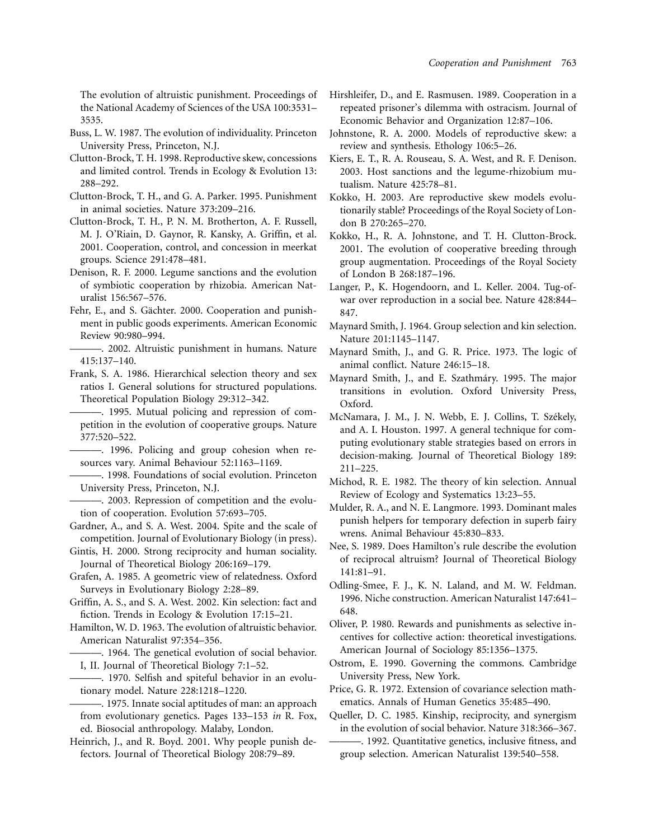The evolution of altruistic punishment. Proceedings of the National Academy of Sciences of the USA 100:3531– 3535.

- Buss, L. W. 1987. The evolution of individuality. Princeton University Press, Princeton, N.J.
- Clutton-Brock, T. H. 1998. Reproductive skew, concessions and limited control. Trends in Ecology & Evolution 13: 288–292.
- Clutton-Brock, T. H., and G. A. Parker. 1995. Punishment in animal societies. Nature 373:209–216.
- Clutton-Brock, T. H., P. N. M. Brotherton, A. F. Russell, M. J. O'Riain, D. Gaynor, R. Kansky, A. Griffin, et al. 2001. Cooperation, control, and concession in meerkat groups. Science 291:478–481.
- Denison, R. F. 2000. Legume sanctions and the evolution of symbiotic cooperation by rhizobia. American Naturalist 156:567–576.
- Fehr, E., and S. Gächter. 2000. Cooperation and punishment in public goods experiments. American Economic Review 90:980–994.
- ———. 2002. Altruistic punishment in humans. Nature 415:137–140.
- Frank, S. A. 1986. Hierarchical selection theory and sex ratios I. General solutions for structured populations. Theoretical Population Biology 29:312–342.
	- ———. 1995. Mutual policing and repression of competition in the evolution of cooperative groups. Nature 377:520–522.
	- ———. 1996. Policing and group cohesion when resources vary. Animal Behaviour 52:1163–1169.
- ———. 1998. Foundations of social evolution. Princeton University Press, Princeton, N.J.
- ———. 2003. Repression of competition and the evolution of cooperation. Evolution 57:693–705.
- Gardner, A., and S. A. West. 2004. Spite and the scale of competition. Journal of Evolutionary Biology (in press).
- Gintis, H. 2000. Strong reciprocity and human sociality. Journal of Theoretical Biology 206:169–179.
- Grafen, A. 1985. A geometric view of relatedness. Oxford Surveys in Evolutionary Biology 2:28–89.
- Griffin, A. S., and S. A. West. 2002. Kin selection: fact and fiction. Trends in Ecology & Evolution 17:15–21.
- Hamilton, W. D. 1963. The evolution of altruistic behavior. American Naturalist 97:354–356.
- -. 1964. The genetical evolution of social behavior. I, II. Journal of Theoretical Biology 7:1–52.
- ———. 1970. Selfish and spiteful behavior in an evolutionary model. Nature 228:1218–1220.
- ———. 1975. Innate social aptitudes of man: an approach from evolutionary genetics. Pages 133–153 *in* R. Fox, ed. Biosocial anthropology. Malaby, London.
- Heinrich, J., and R. Boyd. 2001. Why people punish defectors. Journal of Theoretical Biology 208:79–89.
- Hirshleifer, D., and E. Rasmusen. 1989. Cooperation in a repeated prisoner's dilemma with ostracism. Journal of Economic Behavior and Organization 12:87–106.
- Johnstone, R. A. 2000. Models of reproductive skew: a review and synthesis. Ethology 106:5–26.
- Kiers, E. T., R. A. Rouseau, S. A. West, and R. F. Denison. 2003. Host sanctions and the legume-rhizobium mutualism. Nature 425:78–81.
- Kokko, H. 2003. Are reproductive skew models evolutionarily stable? Proceedings of the Royal Society of London B 270:265–270.
- Kokko, H., R. A. Johnstone, and T. H. Clutton-Brock. 2001. The evolution of cooperative breeding through group augmentation. Proceedings of the Royal Society of London B 268:187–196.
- Langer, P., K. Hogendoorn, and L. Keller. 2004. Tug-ofwar over reproduction in a social bee. Nature 428:844– 847.
- Maynard Smith, J. 1964. Group selection and kin selection. Nature 201:1145–1147.
- Maynard Smith, J., and G. R. Price. 1973. The logic of animal conflict. Nature 246:15–18.
- Maynard Smith, J., and E. Szathmáry. 1995. The major transitions in evolution. Oxford University Press, Oxford.
- McNamara, J. M., J. N. Webb, E. J. Collins, T. Székely, and A. I. Houston. 1997. A general technique for computing evolutionary stable strategies based on errors in decision-making. Journal of Theoretical Biology 189: 211–225.
- Michod, R. E. 1982. The theory of kin selection. Annual Review of Ecology and Systematics 13:23–55.
- Mulder, R. A., and N. E. Langmore. 1993. Dominant males punish helpers for temporary defection in superb fairy wrens. Animal Behaviour 45:830–833.
- Nee, S. 1989. Does Hamilton's rule describe the evolution of reciprocal altruism? Journal of Theoretical Biology 141:81–91.
- Odling-Smee, F. J., K. N. Laland, and M. W. Feldman. 1996. Niche construction. American Naturalist 147:641– 648.
- Oliver, P. 1980. Rewards and punishments as selective incentives for collective action: theoretical investigations. American Journal of Sociology 85:1356–1375.
- Ostrom, E. 1990. Governing the commons. Cambridge University Press, New York.
- Price, G. R. 1972. Extension of covariance selection mathematics. Annals of Human Genetics 35:485–490.
- Queller, D. C. 1985. Kinship, reciprocity, and synergism in the evolution of social behavior. Nature 318:366–367.
- ———. 1992. Quantitative genetics, inclusive fitness, and group selection. American Naturalist 139:540–558.